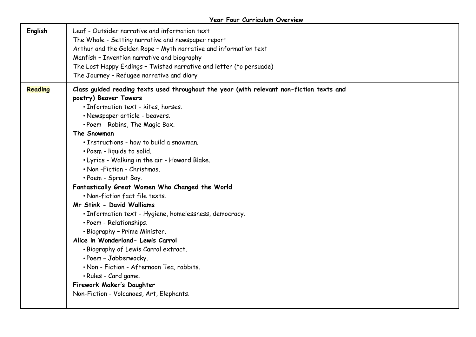| Reading<br>Class guided reading texts used throughout the year (with relevant non-fiction texts and<br>poetry) Beaver Towers<br>· Information text - kites, horses.<br>· Newspaper article - beavers.<br>• Poem - Robins, The Magic Box.<br>The Snowman<br>· Instructions - how to build a snowman.<br>• Poem - liquids to solid.<br>. Lyrics - Walking in the air - Howard Blake.<br>. Non-Fiction - Christmas.<br>• Poem - Sprout Boy.<br>Fantastically Great Women Who Changed the World<br>• Non-fiction fact file texts.<br>Mr Stink - David Walliams<br>· Information text - Hygiene, homelessness, democracy.<br>· Poem - Relationships.<br>• Biography - Prime Minister.<br>Alice in Wonderland- Lewis Carrol<br>. Biography of Lewis Carrol extract.<br>· Poem - Jabberwocky.<br>. Non - Fiction - Afternoon Tea, rabbits. | English | Leaf - Outsider narrative and information text<br>The Whale - Setting narrative and newspaper report<br>Arthur and the Golden Rope - Myth narrative and information text<br>Manfish - Invention narrative and biography<br>The Lost Happy Endings - Twisted narrative and letter (to persuade)<br>The Journey - Refugee narrative and diary |  |
|-------------------------------------------------------------------------------------------------------------------------------------------------------------------------------------------------------------------------------------------------------------------------------------------------------------------------------------------------------------------------------------------------------------------------------------------------------------------------------------------------------------------------------------------------------------------------------------------------------------------------------------------------------------------------------------------------------------------------------------------------------------------------------------------------------------------------------------|---------|---------------------------------------------------------------------------------------------------------------------------------------------------------------------------------------------------------------------------------------------------------------------------------------------------------------------------------------------|--|
| Firework Maker's Daughter<br>Non-Fiction - Volcanoes, Art, Elephants.                                                                                                                                                                                                                                                                                                                                                                                                                                                                                                                                                                                                                                                                                                                                                               |         | · Rules - Card game.                                                                                                                                                                                                                                                                                                                        |  |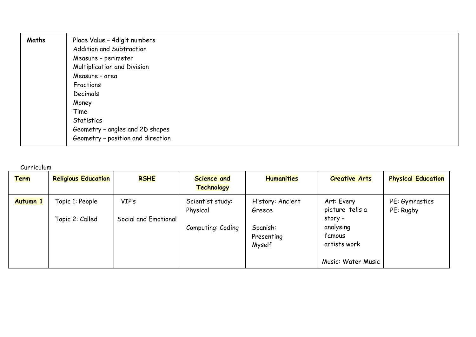| Maths | Place Value - 4 digit numbers     |
|-------|-----------------------------------|
|       | Addition and Subtraction          |
|       | Measure - perimeter               |
|       | Multiplication and Division       |
|       | Measure - area                    |
|       | Fractions                         |
|       | Decimals                          |
|       | Money                             |
|       | Time                              |
|       | Statistics                        |
|       | Geometry - angles and 2D shapes   |
|       | Geometry - position and direction |

Curriculum

| <b>Term</b>     | <b>Religious Education</b>         | <b>RSHE</b>                   | <b>Science and</b><br><b>Technology</b> | <b>Humanities</b>                | <b>Creative Arts</b>                                      | <b>Physical Education</b>   |
|-----------------|------------------------------------|-------------------------------|-----------------------------------------|----------------------------------|-----------------------------------------------------------|-----------------------------|
| <b>Autumn 1</b> | Topic 1: People<br>Topic 2: Called | VIP's<br>Social and Emotional | Scientist study:<br>Physical            | History: Ancient<br>Greece       | Art: Every<br>picture tells a<br>story -                  | PE: Gymnastics<br>PE: Rugby |
|                 |                                    |                               | Computing: Coding                       | Spanish:<br>Presenting<br>Myself | analysing<br>famous<br>artists work<br>Music: Water Music |                             |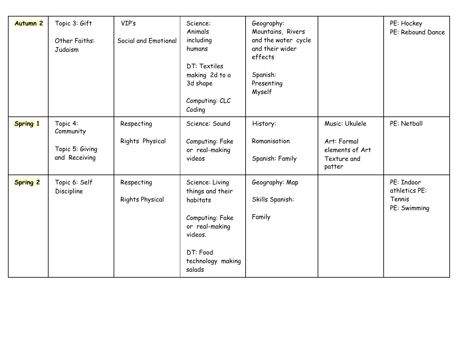| <b>Autumn 2</b> | Topic 3: Gift<br>Other Faiths:<br>Judaism                 | VIP's<br>Social and Emotional        | Science:<br>Animals<br>including<br>humans<br>DT: Textiles<br>making 2d to a<br>3d shape<br>Computing: CLC<br>Coding                       | Geography:<br>Mountains, Rivers<br>and the water cycle<br>and their wider<br>effects<br>Spanish:<br>Presenting<br>Myself |                                                                           | PE: Hockey<br>PE: Rebound Dance                       |
|-----------------|-----------------------------------------------------------|--------------------------------------|--------------------------------------------------------------------------------------------------------------------------------------------|--------------------------------------------------------------------------------------------------------------------------|---------------------------------------------------------------------------|-------------------------------------------------------|
| <b>Spring 1</b> | Topic 4:<br>Community<br>Topic 5: Giving<br>and Receiving | Respecting<br>Rights Physical        | Science: Sound<br>Computing: Fake<br>or real-making<br>videos                                                                              | History:<br>Romanisation<br>Spanish: Family                                                                              | Music: Ukulele<br>Art: Formal<br>elements of Art<br>Texture and<br>patter | PE: Netball                                           |
| <b>Spring 2</b> | Topic 6: Self<br>Discipline                               | Respecting<br><b>Rights Physical</b> | Science: Living<br>things and their<br>habitats<br>Computing: Fake<br>or real-making<br>videos.<br>DT: Food<br>technology making<br>salads | Geography: Map<br>Skills Spanish:<br>Family                                                                              |                                                                           | PE: Indoor<br>athletics PE:<br>Tennis<br>PE: Swimming |